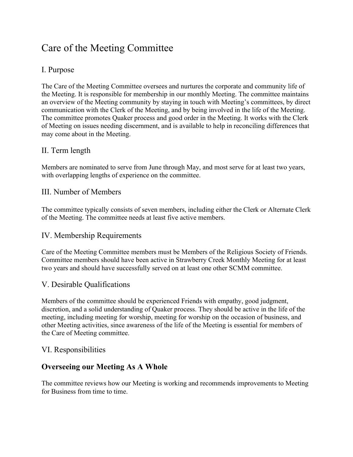# Care of the Meeting Committee

## I. Purpose

The Care of the Meeting Committee oversees and nurtures the corporate and community life of the Meeting. It is responsible for membership in our monthly Meeting. The committee maintains an overview of the Meeting community by staying in touch with Meeting's committees, by direct communication with the Clerk of the Meeting, and by being involved in the life of the Meeting. The committee promotes Quaker process and good order in the Meeting. It works with the Clerk of Meeting on issues needing discernment, and is available to help in reconciling differences that may come about in the Meeting.

## II. Term length

Members are nominated to serve from June through May, and most serve for at least two years, with overlapping lengths of experience on the committee.

### III. Number of Members

The committee typically consists of seven members, including either the Clerk or Alternate Clerk of the Meeting. The committee needs at least five active members.

### IV. Membership Requirements

Care of the Meeting Committee members must be Members of the Religious Society of Friends. Committee members should have been active in Strawberry Creek Monthly Meeting for at least two years and should have successfully served on at least one other SCMM committee.

## V. Desirable Qualifications

Members of the committee should be experienced Friends with empathy, good judgment, discretion, and a solid understanding of Quaker process. They should be active in the life of the meeting, including meeting for worship, meeting for worship on the occasion of business, and other Meeting activities, since awareness of the life of the Meeting is essential for members of the Care of Meeting committee.

### VI. Responsibilities

## Overseeing our Meeting As A Whole

The committee reviews how our Meeting is working and recommends improvements to Meeting for Business from time to time.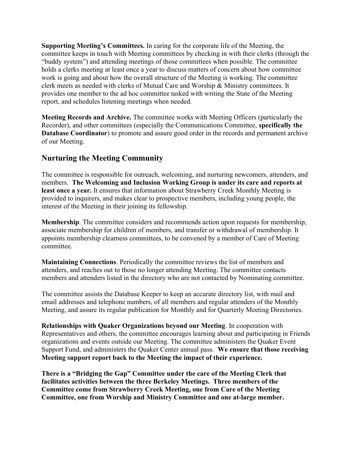Supporting Meeting's Committees. In caring for the corporate life of the Meeting, the committee keeps in touch with Meeting committees by checking in with their clerks (through the "buddy system") and attending meetings of those committees when possible. The committee holds a clerks meeting at least once a year to discuss matters of concern about how committee work is going and about how the overall structure of the Meeting is working. The committee clerk meets as needed with clerks of Mutual Care and Worship & Ministry committees. It provides one member to the ad hoc committee tasked with writing the State of the Meeting report, and schedules listening meetings when needed.

Meeting Records and Archive. The committee works with Meeting Officers (particularly the Recorder), and other committees (especially the Communications Committee, specifically the Database Coordinator) to promote and assure good order in the records and permanent archive of our Meeting.

# Nurturing the Meeting Community

The committee is responsible for outreach, welcoming, and nurturing newcomers, attenders, and members. The Welcoming and Inclusion Working Group is under its care and reports at least once a year. It ensures that information about Strawberry Creek Monthly Meeting is provided to inquirers, and makes clear to prospective members, including young people, the interest of the Meeting in their joining its fellowship.

Membership. The committee considers and recommends action upon requests for membership, associate membership for children of members, and transfer or withdrawal of membership. It appoints membership clearness committees, to be convened by a member of Care of Meeting committee.

Maintaining Connections. Periodically the committee reviews the list of members and attenders, and reaches out to those no longer attending Meeting. The committee contacts members and attenders listed in the directory who are not contacted by Nominating committee.

The committee assists the Database Keeper to keep an accurate directory list, with mail and email addresses and telephone numbers, of all members and regular attenders of the Monthly Meeting, and assure its regular publication for Monthly and for Quarterly Meeting Directories.

Relationships with Quaker Organizations beyond our Meeting. In cooperation with Representatives and others, the committee encourages learning about and participating in Friends organizations and events outside our Meeting. The committee administers the Quaker Event Support Fund, and administers the Quaker Center annual pass. We ensure that those receiving Meeting support report back to the Meeting the impact of their experience.

There is a "Bridging the Gap" Committee under the care of the Meeting Clerk that facilitates activities between the three Berkeley Meetings. Three members of the Committee come from Strawberry Creek Meeting, one from Care of the Meeting Committee, one from Worship and Ministry Committee and one at-large member.